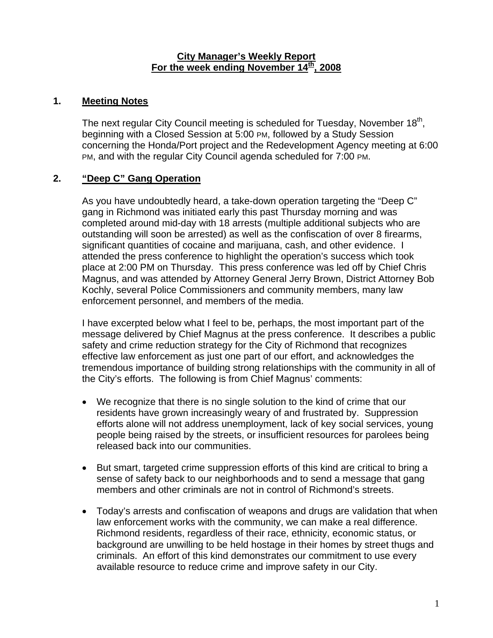#### **City Manager's Weekly Report** For the week ending November 14<sup>th</sup>, 2008

### **1. Meeting Notes**

The next regular City Council meeting is scheduled for Tuesday, November 18<sup>th</sup>, beginning with a Closed Session at 5:00 PM, followed by a Study Session concerning the Honda/Port project and the Redevelopment Agency meeting at 6:00 PM, and with the regular City Council agenda scheduled for 7:00 PM.

## **2. "Deep C" Gang Operation**

As you have undoubtedly heard, a take-down operation targeting the "Deep C" gang in Richmond was initiated early this past Thursday morning and was completed around mid-day with 18 arrests (multiple additional subjects who are outstanding will soon be arrested) as well as the confiscation of over 8 firearms, significant quantities of cocaine and marijuana, cash, and other evidence. I attended the press conference to highlight the operation's success which took place at 2:00 PM on Thursday. This press conference was led off by Chief Chris Magnus, and was attended by Attorney General Jerry Brown, District Attorney Bob Kochly, several Police Commissioners and community members, many law enforcement personnel, and members of the media.

I have excerpted below what I feel to be, perhaps, the most important part of the message delivered by Chief Magnus at the press conference. It describes a public safety and crime reduction strategy for the City of Richmond that recognizes effective law enforcement as just one part of our effort, and acknowledges the tremendous importance of building strong relationships with the community in all of the City's efforts. The following is from Chief Magnus' comments:

- We recognize that there is no single solution to the kind of crime that our residents have grown increasingly weary of and frustrated by. Suppression efforts alone will not address unemployment, lack of key social services, young people being raised by the streets, or insufficient resources for parolees being released back into our communities.
- But smart, targeted crime suppression efforts of this kind are critical to bring a sense of safety back to our neighborhoods and to send a message that gang members and other criminals are not in control of Richmond's streets.
- Today's arrests and confiscation of weapons and drugs are validation that when law enforcement works with the community, we can make a real difference. Richmond residents, regardless of their race, ethnicity, economic status, or background are unwilling to be held hostage in their homes by street thugs and criminals. An effort of this kind demonstrates our commitment to use every available resource to reduce crime and improve safety in our City.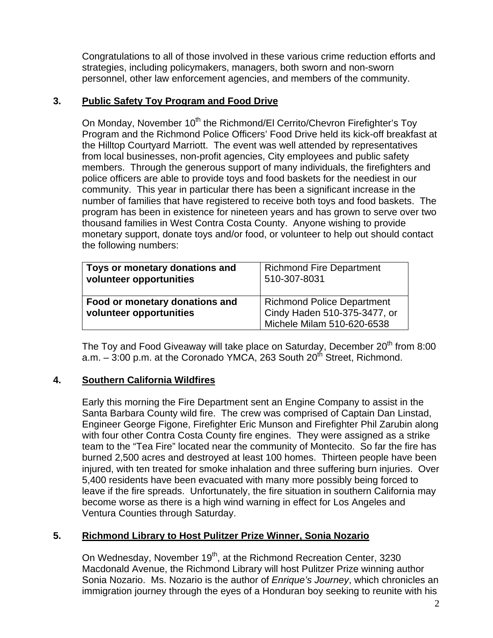Congratulations to all of those involved in these various crime reduction efforts and strategies, including policymakers, managers, both sworn and non-sworn personnel, other law enforcement agencies, and members of the community.

## **3. Public Safety Toy Program and Food Drive**

On Monday, November 10<sup>th</sup> the Richmond/El Cerrito/Chevron Firefighter's Toy Program and the Richmond Police Officers' Food Drive held its kick-off breakfast at the Hilltop Courtyard Marriott. The event was well attended by representatives from local businesses, non-profit agencies, City employees and public safety members. Through the generous support of many individuals, the firefighters and police officers are able to provide toys and food baskets for the neediest in our community. This year in particular there has been a significant increase in the number of families that have registered to receive both toys and food baskets. The program has been in existence for nineteen years and has grown to serve over two thousand families in West Contra Costa County. Anyone wishing to provide monetary support, donate toys and/or food, or volunteer to help out should contact the following numbers:

| Toys or monetary donations and                            | <b>Richmond Fire Department</b>                                                          |
|-----------------------------------------------------------|------------------------------------------------------------------------------------------|
| volunteer opportunities                                   | 510-307-8031                                                                             |
| Food or monetary donations and<br>volunteer opportunities | Richmond Police Department<br>Cindy Haden 510-375-3477, or<br>Michele Milam 510-620-6538 |

The Toy and Food Giveaway will take place on Saturday, December 20<sup>th</sup> from 8:00 a.m.  $-$  3:00 p.m. at the Coronado YMCA, 263 South 20<sup>th</sup> Street, Richmond.

## **4. Southern California Wildfires**

Early this morning the Fire Department sent an Engine Company to assist in the Santa Barbara County wild fire. The crew was comprised of Captain Dan Linstad, Engineer George Figone, Firefighter Eric Munson and Firefighter Phil Zarubin along with four other Contra Costa County fire engines. They were assigned as a strike team to the "Tea Fire" located near the community of Montecito. So far the fire has burned 2,500 acres and destroyed at least 100 homes. Thirteen people have been injured, with ten treated for smoke inhalation and three suffering burn injuries. Over 5,400 residents have been evacuated with many more possibly being forced to leave if the fire spreads. Unfortunately, the fire situation in southern California may become worse as there is a high wind warning in effect for Los Angeles and Ventura Counties through Saturday.

## **5. Richmond Library to Host Pulitzer Prize Winner, Sonia Nozario**

On Wednesday, November 19<sup>th</sup>, at the Richmond Recreation Center, 3230 Macdonald Avenue, the Richmond Library will host Pulitzer Prize winning author Sonia Nozario. Ms. Nozario is the author of *Enrique's Journey*, which chronicles an immigration journey through the eyes of a Honduran boy seeking to reunite with his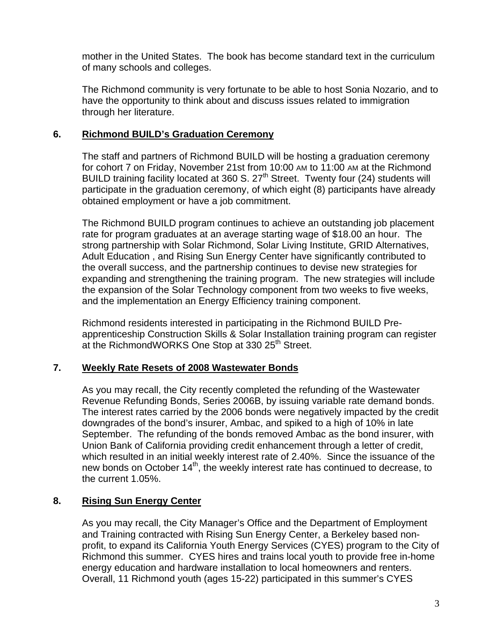mother in the United States. The book has become standard text in the curriculum of many schools and colleges.

The Richmond community is very fortunate to be able to host Sonia Nozario, and to have the opportunity to think about and discuss issues related to immigration through her literature.

### **6. Richmond BUILD's Graduation Ceremony**

The staff and partners of Richmond BUILD will be hosting a graduation ceremony for cohort 7 on Friday, November 21st from 10:00 AM to 11:00 AM at the Richmond BUILD training facility located at 360 S.  $27<sup>th</sup>$  Street. Twenty four (24) students will participate in the graduation ceremony, of which eight (8) participants have already obtained employment or have a job commitment.

The Richmond BUILD program continues to achieve an outstanding job placement rate for program graduates at an average starting wage of \$18.00 an hour. The strong partnership with Solar Richmond, Solar Living Institute, GRID Alternatives, Adult Education , and Rising Sun Energy Center have significantly contributed to the overall success, and the partnership continues to devise new strategies for expanding and strengthening the training program. The new strategies will include the expansion of the Solar Technology component from two weeks to five weeks, and the implementation an Energy Efficiency training component.

Richmond residents interested in participating in the Richmond BUILD Preapprenticeship Construction Skills & Solar Installation training program can register at the RichmondWORKS One Stop at 330 25<sup>th</sup> Street.

## **7. Weekly Rate Resets of 2008 Wastewater Bonds**

As you may recall, the City recently completed the refunding of the Wastewater Revenue Refunding Bonds, Series 2006B, by issuing variable rate demand bonds. The interest rates carried by the 2006 bonds were negatively impacted by the credit downgrades of the bond's insurer, Ambac, and spiked to a high of 10% in late September. The refunding of the bonds removed Ambac as the bond insurer, with Union Bank of California providing credit enhancement through a letter of credit, which resulted in an initial weekly interest rate of 2.40%. Since the issuance of the new bonds on October 14<sup>th</sup>, the weekly interest rate has continued to decrease, to the current 1.05%.

## **8. Rising Sun Energy Center**

As you may recall, the City Manager's Office and the Department of Employment and Training contracted with Rising Sun Energy Center, a Berkeley based nonprofit, to expand its California Youth Energy Services (CYES) program to the City of Richmond this summer. CYES hires and trains local youth to provide free in-home energy education and hardware installation to local homeowners and renters. Overall, 11 Richmond youth (ages 15-22) participated in this summer's CYES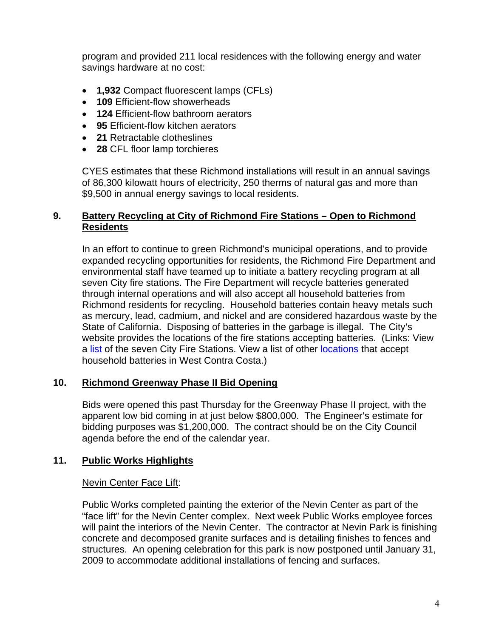program and provided 211 local residences with the following energy and water savings hardware at no cost:

- **1,932** Compact fluorescent lamps (CFLs)
- **109** Efficient-flow showerheads
- **124** Efficient-flow bathroom aerators
- **95** Efficient-flow kitchen aerators
- **21** Retractable clotheslines
- **28** CFL floor lamp torchieres

CYES estimates that these Richmond installations will result in an annual savings of 86,300 kilowatt hours of electricity, 250 therms of natural gas and more than \$9,500 in annual energy savings to local residents.

### **9. Battery Recycling at City of Richmond Fire Stations – Open to Richmond Residents**

In an effort to continue to green Richmond's municipal operations, and to provide expanded recycling opportunities for residents, the Richmond Fire Department and environmental staff have teamed up to initiate a battery recycling program at all seven City fire stations. The Fire Department will recycle batteries generated through internal operations and will also accept all household batteries from Richmond residents for recycling. Household batteries contain heavy metals such as mercury, lead, cadmium, and nickel and are considered hazardous waste by the State of California. Disposing of batteries in the garbage is illegal. The City's website provides the locations of the fire stations accepting batteries. (Links: View a [list](http://www.ci.richmond.ca.us/index.asp?NID=406) of the seven City Fire Stations. View a list of other [locations](http://www.recyclemore.com/article_subpage.asp?subpagekey=445) that accept household batteries in West Contra Costa.)

#### **10. Richmond Greenway Phase II Bid Opening**

Bids were opened this past Thursday for the Greenway Phase II project, with the apparent low bid coming in at just below \$800,000. The Engineer's estimate for bidding purposes was \$1,200,000. The contract should be on the City Council agenda before the end of the calendar year.

## **11. Public Works Highlights**

#### Nevin Center Face Lift:

Public Works completed painting the exterior of the Nevin Center as part of the "face lift" for the Nevin Center complex. Next week Public Works employee forces will paint the interiors of the Nevin Center. The contractor at Nevin Park is finishing concrete and decomposed granite surfaces and is detailing finishes to fences and structures. An opening celebration for this park is now postponed until January 31, 2009 to accommodate additional installations of fencing and surfaces.